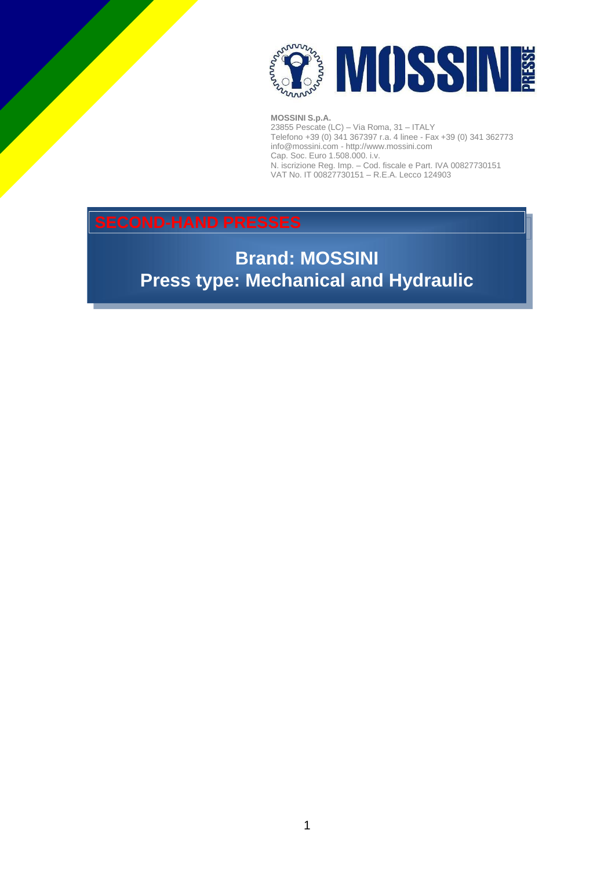

23855 Pescate (LC) – Via Roma, 31 – ITALY Telefono +39 (0) 341 367397 r.a. 4 linee - Fax +39 (0) 341 362773 [info@mossini.com](mailto:info@mossini.com) - [http://www.mossini.com](http://www.mossini.com/) Cap. Soc. Euro 1.508.000. i.v. N. iscrizione Reg. Imp. – Cod. fiscale e Part. IVA 00827730151 VAT No. IT 00827730151 – R.E.A. Lecco 124903

### **SECOND-HAND PRESSES**

**Brand: MOSSINI Press type: Mechanical and Hydraulic**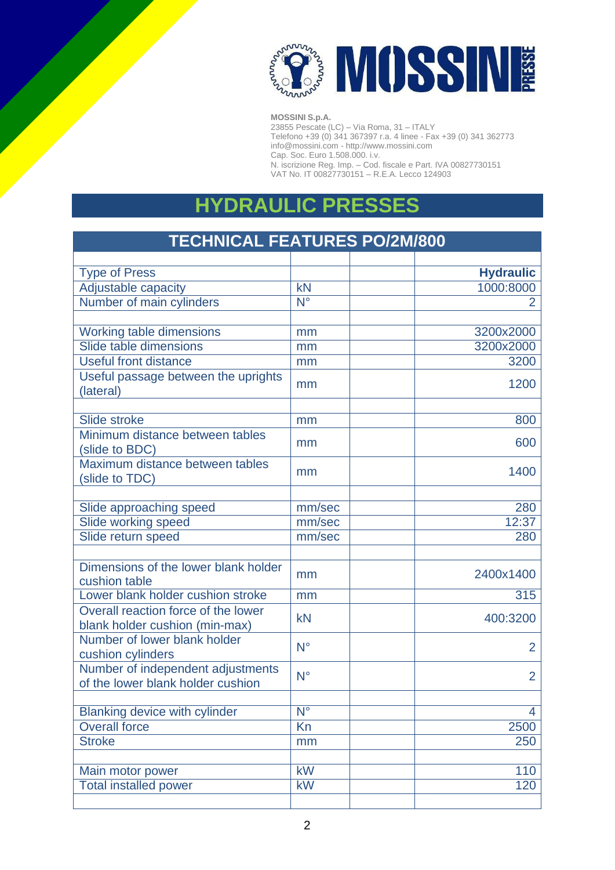

23855 Pescate (LC) – Via Roma, 31 – ITALY Telefono +39 (0) 341 367397 r.a. 4 linee - Fax +39 (0) 341 362773 [info@mossini.com](mailto:info@mossini.com) - [http://www.mossini.com](http://www.mossini.com/) Cap. Soc. Euro 1.508.000. i.v. N. iscrizione Reg. Imp. – Cod. fiscale e Part. IVA 00827730151 VAT No. IT 00827730151 – R.E.A. Lecco 124903

### **HYDRAULIC PRESSES**

# **TECHNICAL FEATURES PO/2M/800**

| <b>Type of Press</b>                                                   |                               | <b>Hydraulic</b> |
|------------------------------------------------------------------------|-------------------------------|------------------|
| <b>Adjustable capacity</b>                                             | $\overline{kN}$               | 1000:8000        |
| Number of main cylinders                                               | $N^{\circ}$                   | $\overline{2}$   |
|                                                                        |                               |                  |
| Working table dimensions                                               | mm                            | 3200x2000        |
| Slide table dimensions                                                 | mm                            | 3200x2000        |
| <b>Useful front distance</b>                                           | mm                            | 3200             |
| Useful passage between the uprights<br>(lateral)                       | mm                            | 1200             |
| Slide stroke                                                           | mm                            | 800              |
| Minimum distance between tables<br>(slide to BDC)                      | mm                            | 600              |
| Maximum distance between tables<br>(slide to TDC)                      | mm                            | 1400             |
|                                                                        |                               |                  |
| Slide approaching speed                                                | mm/sec                        | 280              |
| Slide working speed                                                    | mm/sec                        | 12:37            |
| Slide return speed                                                     | mm/sec                        | 280              |
|                                                                        |                               |                  |
| Dimensions of the lower blank holder<br>cushion table                  | mm                            | 2400x1400        |
| Lower blank holder cushion stroke                                      | mm                            | 315              |
| Overall reaction force of the lower<br>blank holder cushion (min-max)  | kN                            | 400:3200         |
| Number of lower blank holder<br>cushion cylinders                      | $N^{\circ}$                   | $\overline{2}$   |
| Number of independent adjustments<br>of the lower blank holder cushion | $N^{\circ}$                   | $\overline{2}$   |
| <b>Blanking device with cylinder</b>                                   | $\overline{\mathsf{N}^\circ}$ | $\overline{4}$   |
| <b>Overall force</b>                                                   | Kn                            | 2500             |
| <b>Stroke</b>                                                          | mm                            | 250              |
|                                                                        |                               |                  |
| Main motor power                                                       | kW                            | 110              |
| <b>Total installed power</b>                                           | kW                            | $\overline{120}$ |
|                                                                        |                               |                  |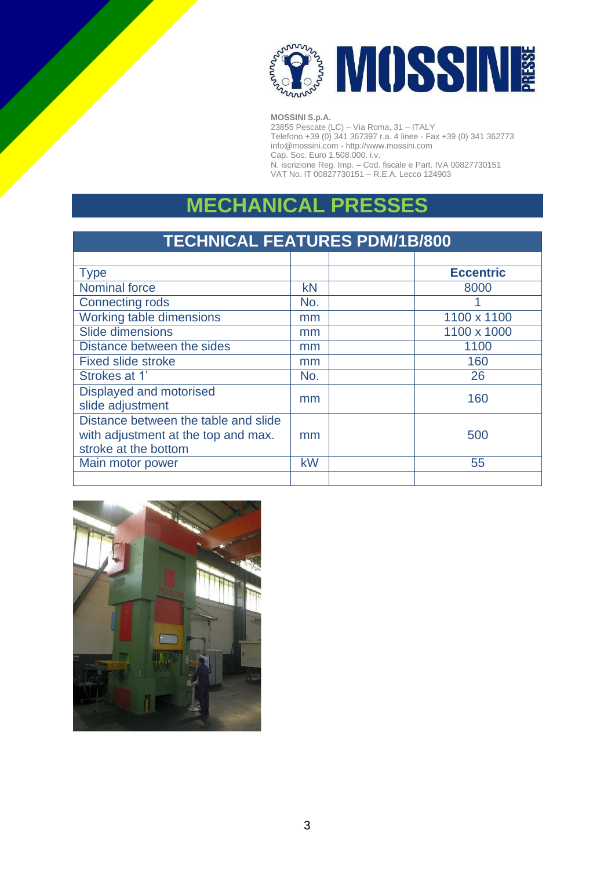

23855 Pescate (LC) – Via Roma, 31 – ITALY Telefono +39 (0) 341 367397 r.a. 4 linee - Fax +39 (0) 341 362773 [info@mossini.com](mailto:info@mossini.com) - [http://www.mossini.com](http://www.mossini.com/) Cap. Soc. Euro 1.508.000. i.v. N. iscrizione Reg. Imp. – Cod. fiscale e Part. IVA 00827730151 VAT No. IT 00827730151 – R.E.A. Lecco 124903

## **MECHANICAL PRESSES**

| <b>TECHNICAL FEATURES PDM/1B/800</b>                        |     |                  |  |  |  |
|-------------------------------------------------------------|-----|------------------|--|--|--|
|                                                             |     |                  |  |  |  |
| <b>Type</b>                                                 |     | <b>Eccentric</b> |  |  |  |
| Nominal force                                               | kN  | 8000             |  |  |  |
| <b>Connecting rods</b>                                      | No. |                  |  |  |  |
| Working table dimensions                                    | mm  | 1100 x 1100      |  |  |  |
| Slide dimensions                                            | mm  | 1100 x 1000      |  |  |  |
| Distance between the sides                                  | mm  | 1100             |  |  |  |
| <b>Fixed slide stroke</b>                                   | mm  | 160              |  |  |  |
| Strokes at 1'                                               | No. | 26               |  |  |  |
| Displayed and motorised<br>slide adjustment                 | mm  | 160              |  |  |  |
| Distance between the table and slide                        |     |                  |  |  |  |
| with adjustment at the top and max.<br>stroke at the bottom | mm  | 500              |  |  |  |
| Main motor power                                            | kW  | 55               |  |  |  |
|                                                             |     |                  |  |  |  |